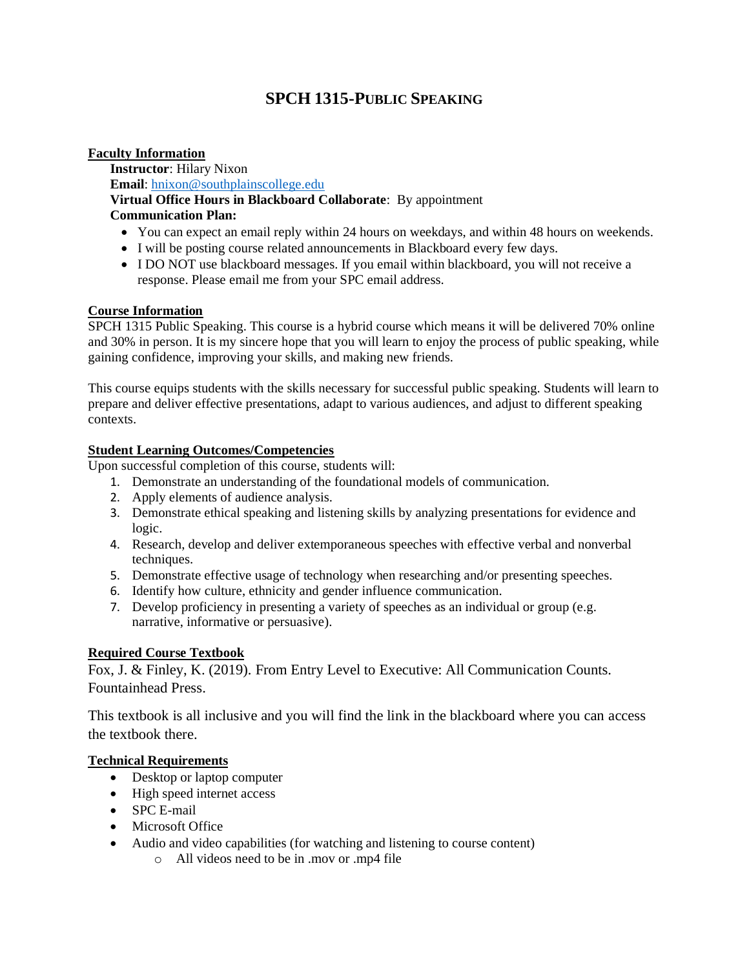# **SPCH 1315-PUBLIC SPEAKING**

### **Faculty Information**

**Instructor**: Hilary Nixon **Email**: [hnixon@southplainscollege.edu](mailto:hnixon@southplainscollege.edu) **Virtual Office Hours in Blackboard Collaborate**: By appointment **Communication Plan:** 

- You can expect an email reply within 24 hours on weekdays, and within 48 hours on weekends.
- I will be posting course related announcements in Blackboard every few days.
- I DO NOT use blackboard messages. If you email within blackboard, you will not receive a response. Please email me from your SPC email address.

### **Course Information**

SPCH 1315 Public Speaking. This course is a hybrid course which means it will be delivered 70% online and 30% in person. It is my sincere hope that you will learn to enjoy the process of public speaking, while gaining confidence, improving your skills, and making new friends.

This course equips students with the skills necessary for successful public speaking. Students will learn to prepare and deliver effective presentations, adapt to various audiences, and adjust to different speaking contexts.

### **Student Learning Outcomes/Competencies**

Upon successful completion of this course, students will:

- 1. Demonstrate an understanding of the foundational models of communication.
- 2. Apply elements of audience analysis.
- 3. Demonstrate ethical speaking and listening skills by analyzing presentations for evidence and logic.
- 4. Research, develop and deliver extemporaneous speeches with effective verbal and nonverbal techniques.
- 5. Demonstrate effective usage of technology when researching and/or presenting speeches.
- 6. Identify how culture, ethnicity and gender influence communication.
- 7. Develop proficiency in presenting a variety of speeches as an individual or group (e.g. narrative, informative or persuasive).

# **Required Course Textbook**

Fox, J. & Finley, K. (2019). From Entry Level to Executive: All Communication Counts. Fountainhead Press.

This textbook is all inclusive and you will find the link in the blackboard where you can access the textbook there.

# **Technical Requirements**

- Desktop or laptop computer
- High speed internet access
- SPC E-mail
- Microsoft Office
- Audio and video capabilities (for watching and listening to course content)
	- o All videos need to be in .mov or .mp4 file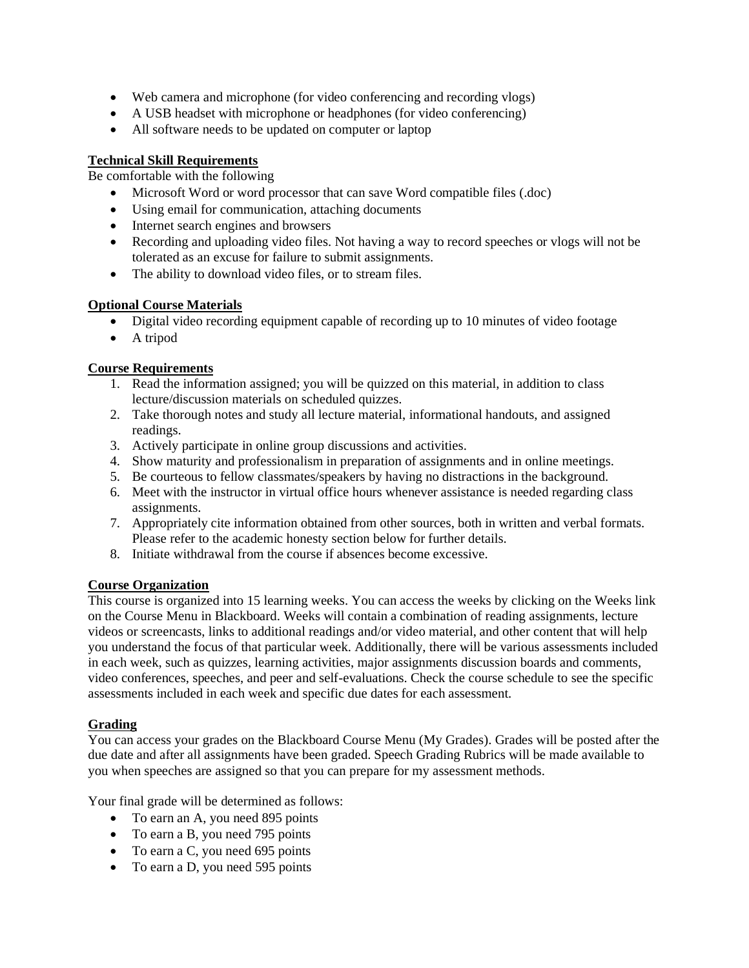- Web camera and microphone (for video conferencing and recording vlogs)
- A USB headset with microphone or headphones (for video conferencing)
- All software needs to be updated on computer or laptop

### **Technical Skill Requirements**

Be comfortable with the following

- Microsoft Word or word processor that can save Word compatible files (.doc)
- Using email for communication, attaching documents
- Internet search engines and browsers
- Recording and uploading video files. Not having a way to record speeches or vlogs will not be tolerated as an excuse for failure to submit assignments.
- The ability to download video files, or to stream files.

### **Optional Course Materials**

- Digital video recording equipment capable of recording up to 10 minutes of video footage
- A tripod

### **Course Requirements**

- 1. Read the information assigned; you will be quizzed on this material, in addition to class lecture/discussion materials on scheduled quizzes.
- 2. Take thorough notes and study all lecture material, informational handouts, and assigned readings.
- 3. Actively participate in online group discussions and activities.
- 4. Show maturity and professionalism in preparation of assignments and in online meetings.
- 5. Be courteous to fellow classmates/speakers by having no distractions in the background.
- 6. Meet with the instructor in virtual office hours whenever assistance is needed regarding class assignments.
- 7. Appropriately cite information obtained from other sources, both in written and verbal formats. Please refer to the academic honesty section below for further details.
- 8. Initiate withdrawal from the course if absences become excessive.

### **Course Organization**

This course is organized into 15 learning weeks. You can access the weeks by clicking on the Weeks link on the Course Menu in Blackboard. Weeks will contain a combination of reading assignments, lecture videos or screencasts, links to additional readings and/or video material, and other content that will help you understand the focus of that particular week. Additionally, there will be various assessments included in each week, such as quizzes, learning activities, major assignments discussion boards and comments, video conferences, speeches, and peer and self-evaluations. Check the course schedule to see the specific assessments included in each week and specific due dates for each assessment.

### **Grading**

You can access your grades on the Blackboard Course Menu (My Grades). Grades will be posted after the due date and after all assignments have been graded. Speech Grading Rubrics will be made available to you when speeches are assigned so that you can prepare for my assessment methods.

Your final grade will be determined as follows:

- To earn an A, you need 895 points
- To earn a B, you need 795 points
- To earn a C, you need 695 points
- To earn a D, you need 595 points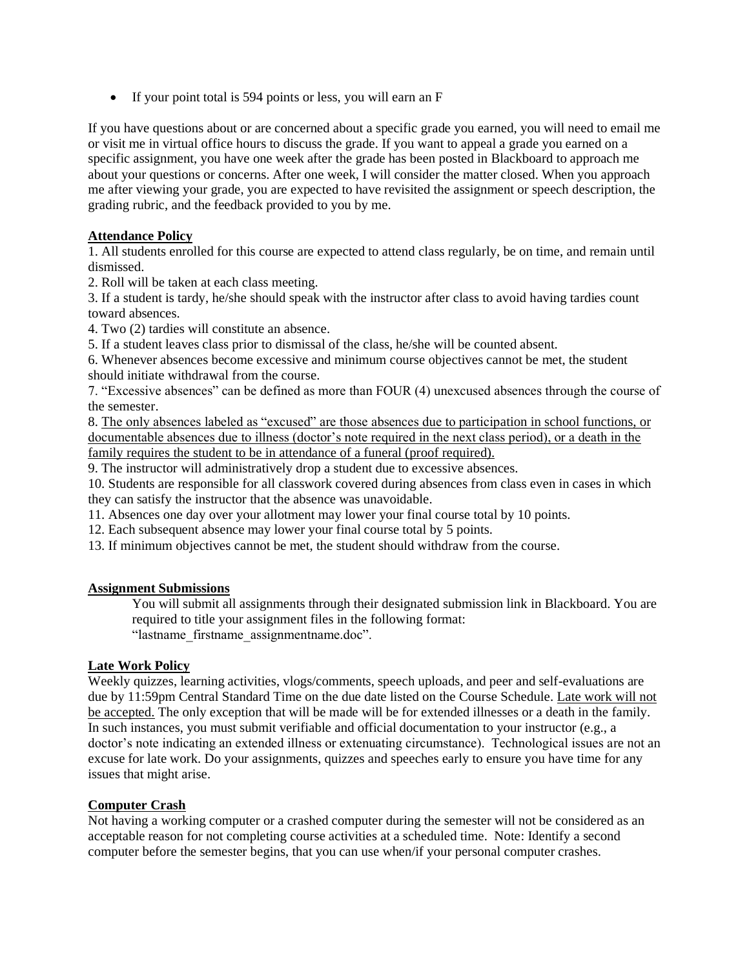• If your point total is 594 points or less, you will earn an F

If you have questions about or are concerned about a specific grade you earned, you will need to email me or visit me in virtual office hours to discuss the grade. If you want to appeal a grade you earned on a specific assignment, you have one week after the grade has been posted in Blackboard to approach me about your questions or concerns. After one week, I will consider the matter closed. When you approach me after viewing your grade, you are expected to have revisited the assignment or speech description, the grading rubric, and the feedback provided to you by me.

### **Attendance Policy**

1. All students enrolled for this course are expected to attend class regularly, be on time, and remain until dismissed.

2. Roll will be taken at each class meeting.

3. If a student is tardy, he/she should speak with the instructor after class to avoid having tardies count toward absences.

4. Two (2) tardies will constitute an absence.

5. If a student leaves class prior to dismissal of the class, he/she will be counted absent.

6. Whenever absences become excessive and minimum course objectives cannot be met, the student should initiate withdrawal from the course.

7. "Excessive absences" can be defined as more than FOUR (4) unexcused absences through the course of the semester.

8. The only absences labeled as "excused" are those absences due to participation in school functions, or documentable absences due to illness (doctor's note required in the next class period), or a death in the family requires the student to be in attendance of a funeral (proof required).

9. The instructor will administratively drop a student due to excessive absences.

10. Students are responsible for all classwork covered during absences from class even in cases in which they can satisfy the instructor that the absence was unavoidable.

11. Absences one day over your allotment may lower your final course total by 10 points.

12. Each subsequent absence may lower your final course total by 5 points.

13. If minimum objectives cannot be met, the student should withdraw from the course.

### **Assignment Submissions**

You will submit all assignments through their designated submission link in Blackboard. You are required to title your assignment files in the following format: "lastname\_firstname\_assignmentname.doc".

### **Late Work Policy**

Weekly quizzes, learning activities, vlogs/comments, speech uploads, and peer and self-evaluations are due by 11:59pm Central Standard Time on the due date listed on the Course Schedule. Late work will not be accepted. The only exception that will be made will be for extended illnesses or a death in the family. In such instances, you must submit verifiable and official documentation to your instructor (e.g., a doctor's note indicating an extended illness or extenuating circumstance). Technological issues are not an excuse for late work. Do your assignments, quizzes and speeches early to ensure you have time for any issues that might arise.

### **Computer Crash**

Not having a working computer or a crashed computer during the semester will not be considered as an acceptable reason for not completing course activities at a scheduled time. Note: Identify a second computer before the semester begins, that you can use when/if your personal computer crashes.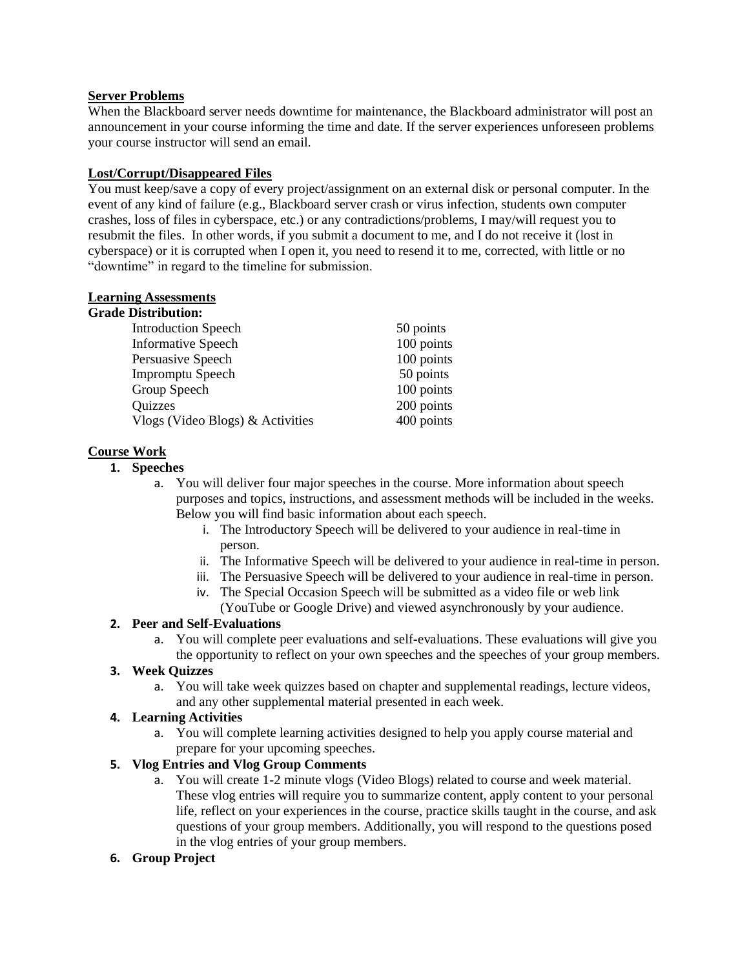### **Server Problems**

When the Blackboard server needs downtime for maintenance, the Blackboard administrator will post an announcement in your course informing the time and date. If the server experiences unforeseen problems your course instructor will send an email.

### **Lost/Corrupt/Disappeared Files**

You must keep/save a copy of every project/assignment on an external disk or personal computer. In the event of any kind of failure (e.g., Blackboard server crash or virus infection, students own computer crashes, loss of files in cyberspace, etc.) or any contradictions/problems, I may/will request you to resubmit the files. In other words, if you submit a document to me, and I do not receive it (lost in cyberspace) or it is corrupted when I open it, you need to resend it to me, corrected, with little or no "downtime" in regard to the timeline for submission.

### **Learning Assessments**

| <b>Grade Distribution:</b>       |            |
|----------------------------------|------------|
| <b>Introduction Speech</b>       | 50 points  |
| <b>Informative Speech</b>        | 100 points |
| Persuasive Speech                | 100 points |
| <b>Impromptu Speech</b>          | 50 points  |
| Group Speech                     | 100 points |
| Quizzes                          | 200 points |
| Vlogs (Video Blogs) & Activities | 400 points |

# **Course Work**

### **1. Speeches**

- a. You will deliver four major speeches in the course. More information about speech purposes and topics, instructions, and assessment methods will be included in the weeks. Below you will find basic information about each speech.
	- i. The Introductory Speech will be delivered to your audience in real-time in person.
	- ii. The Informative Speech will be delivered to your audience in real-time in person.
	- iii. The Persuasive Speech will be delivered to your audience in real-time in person.
	- iv. The Special Occasion Speech will be submitted as a video file or web link
	- (YouTube or Google Drive) and viewed asynchronously by your audience.

# **2. Peer and Self-Evaluations**

a. You will complete peer evaluations and self-evaluations. These evaluations will give you the opportunity to reflect on your own speeches and the speeches of your group members.

# **3. Week Quizzes**

a. You will take week quizzes based on chapter and supplemental readings, lecture videos, and any other supplemental material presented in each week.

### **4. Learning Activities**

a. You will complete learning activities designed to help you apply course material and prepare for your upcoming speeches.

### **5. Vlog Entries and Vlog Group Comments**

a. You will create 1-2 minute vlogs (Video Blogs) related to course and week material. These vlog entries will require you to summarize content, apply content to your personal life, reflect on your experiences in the course, practice skills taught in the course, and ask questions of your group members. Additionally, you will respond to the questions posed in the vlog entries of your group members.

### **6. Group Project**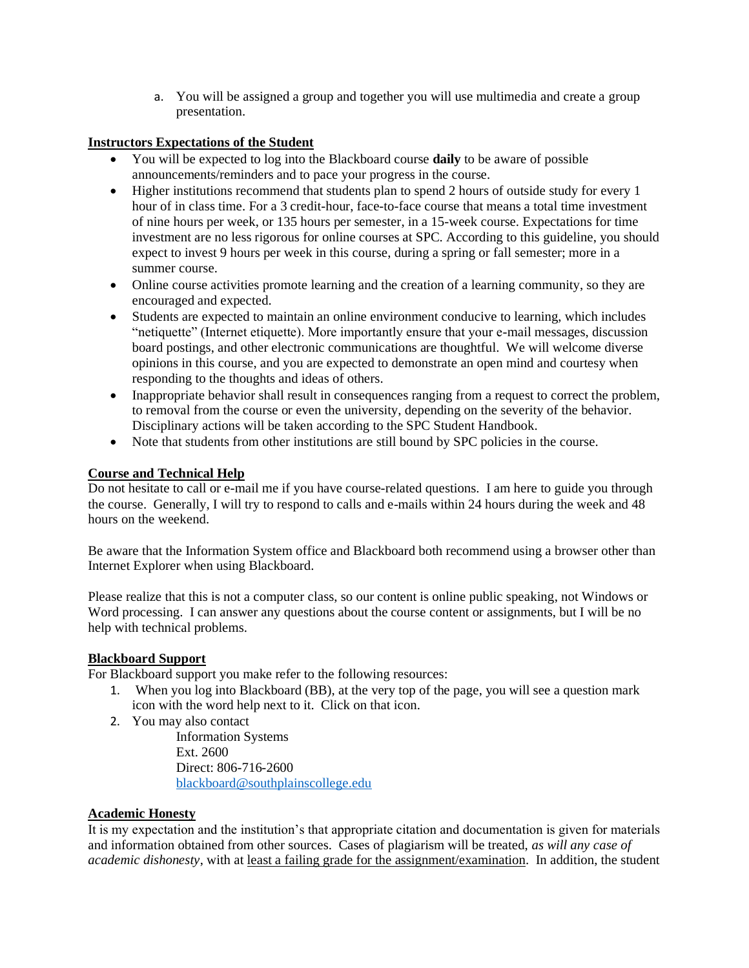a. You will be assigned a group and together you will use multimedia and create a group presentation.

### **Instructors Expectations of the Student**

- You will be expected to log into the Blackboard course **daily** to be aware of possible announcements/reminders and to pace your progress in the course.
- Higher institutions recommend that students plan to spend 2 hours of outside study for every 1 hour of in class time. For a 3 credit-hour, face-to-face course that means a total time investment of nine hours per week, or 135 hours per semester, in a 15-week course. Expectations for time investment are no less rigorous for online courses at SPC. According to this guideline, you should expect to invest 9 hours per week in this course, during a spring or fall semester; more in a summer course.
- Online course activities promote learning and the creation of a learning community, so they are encouraged and expected.
- Students are expected to maintain an online environment conducive to learning, which includes "netiquette" (Internet etiquette). More importantly ensure that your e-mail messages, discussion board postings, and other electronic communications are thoughtful. We will welcome diverse opinions in this course, and you are expected to demonstrate an open mind and courtesy when responding to the thoughts and ideas of others.
- Inappropriate behavior shall result in consequences ranging from a request to correct the problem, to removal from the course or even the university, depending on the severity of the behavior. Disciplinary actions will be taken according to the SPC Student Handbook.
- Note that students from other institutions are still bound by SPC policies in the course.

# **Course and Technical Help**

Do not hesitate to call or e-mail me if you have course-related questions. I am here to guide you through the course. Generally, I will try to respond to calls and e-mails within 24 hours during the week and 48 hours on the weekend.

Be aware that the Information System office and Blackboard both recommend using a browser other than Internet Explorer when using Blackboard.

Please realize that this is not a computer class, so our content is online public speaking, not Windows or Word processing. I can answer any questions about the course content or assignments, but I will be no help with technical problems.

### **Blackboard Support**

For Blackboard support you make refer to the following resources:

- 1. When you log into Blackboard (BB), at the very top of the page, you will see a question mark icon with the word help next to it. Click on that icon.
- 2. You may also contact

Information Systems Ext. 2600 Direct: 806-716-2600 [blackboard@southplainscollege.edu](mailto:jetucker@southplainscollege.edu)

### **Academic Honesty**

It is my expectation and the institution's that appropriate citation and documentation is given for materials and information obtained from other sources. Cases of plagiarism will be treated, *as will any case of academic dishonesty*, with at least a failing grade for the assignment/examination. In addition, the student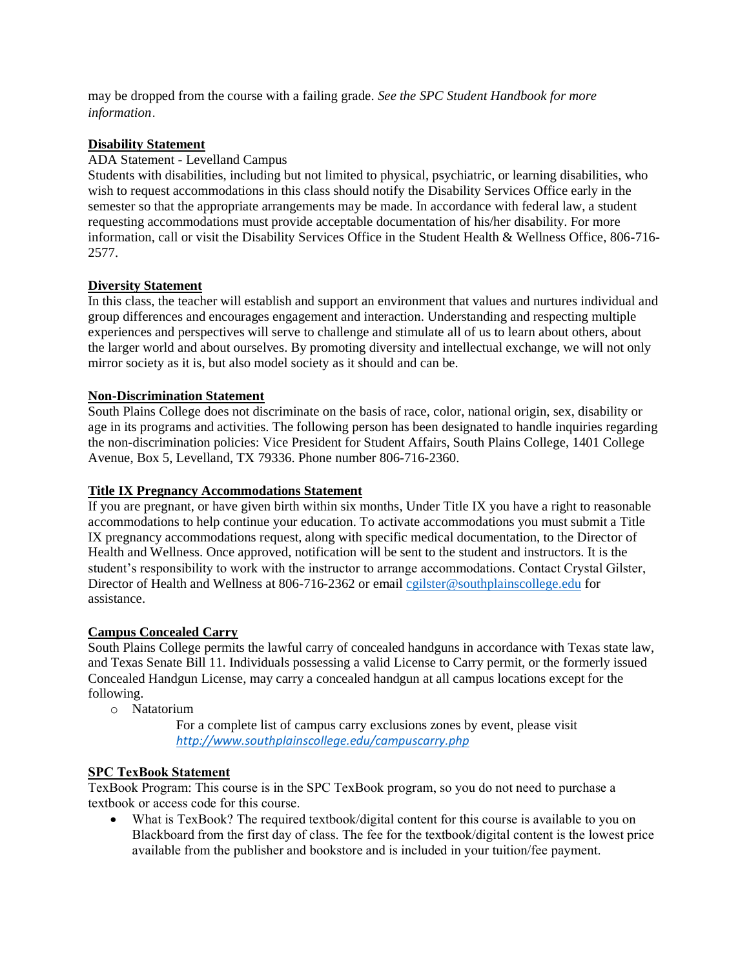may be dropped from the course with a failing grade. *See the SPC Student Handbook for more information*.

### **Disability Statement**

### ADA Statement - Levelland Campus

Students with disabilities, including but not limited to physical, psychiatric, or learning disabilities, who wish to request accommodations in this class should notify the Disability Services Office early in the semester so that the appropriate arrangements may be made. In accordance with federal law, a student requesting accommodations must provide acceptable documentation of his/her disability. For more information, call or visit the Disability Services Office in the Student Health & Wellness Office, 806-716- 2577.

### **Diversity Statement**

In this class, the teacher will establish and support an environment that values and nurtures individual and group differences and encourages engagement and interaction. Understanding and respecting multiple experiences and perspectives will serve to challenge and stimulate all of us to learn about others, about the larger world and about ourselves. By promoting diversity and intellectual exchange, we will not only mirror society as it is, but also model society as it should and can be.

### **Non-Discrimination Statement**

South Plains College does not discriminate on the basis of race, color, national origin, sex, disability or age in its programs and activities. The following person has been designated to handle inquiries regarding the non-discrimination policies: Vice President for Student Affairs, South Plains College, 1401 College Avenue, Box 5, Levelland, TX 79336. Phone number 806-716-2360.

### **Title IX Pregnancy Accommodations Statement**

If you are pregnant, or have given birth within six months, Under Title IX you have a right to reasonable accommodations to help continue your education. To activate accommodations you must submit a Title IX pregnancy accommodations request, along with specific medical documentation, to the Director of Health and Wellness. Once approved, notification will be sent to the student and instructors. It is the student's responsibility to work with the instructor to arrange accommodations. Contact Crystal Gilster, Director of Health and Wellness at 806-716-2362 or email [cgilster@southplainscollege.edu](mailto:cgilster@southplainscollege.edu) for assistance.

### **Campus Concealed Carry**

South Plains College permits the lawful carry of concealed handguns in accordance with Texas state law, and Texas Senate Bill 11. Individuals possessing a valid License to Carry permit, or the formerly issued Concealed Handgun License, may carry a concealed handgun at all campus locations except for the following.

- o Natatorium
	- For a complete list of campus carry exclusions zones by event, please visit *<http://www.southplainscollege.edu/campuscarry.php>*

### **SPC TexBook Statement**

TexBook Program: This course is in the SPC TexBook program, so you do not need to purchase a textbook or access code for this course.

• What is TexBook? The required textbook/digital content for this course is available to you on Blackboard from the first day of class. The fee for the textbook/digital content is the lowest price available from the publisher and bookstore and is included in your tuition/fee payment.